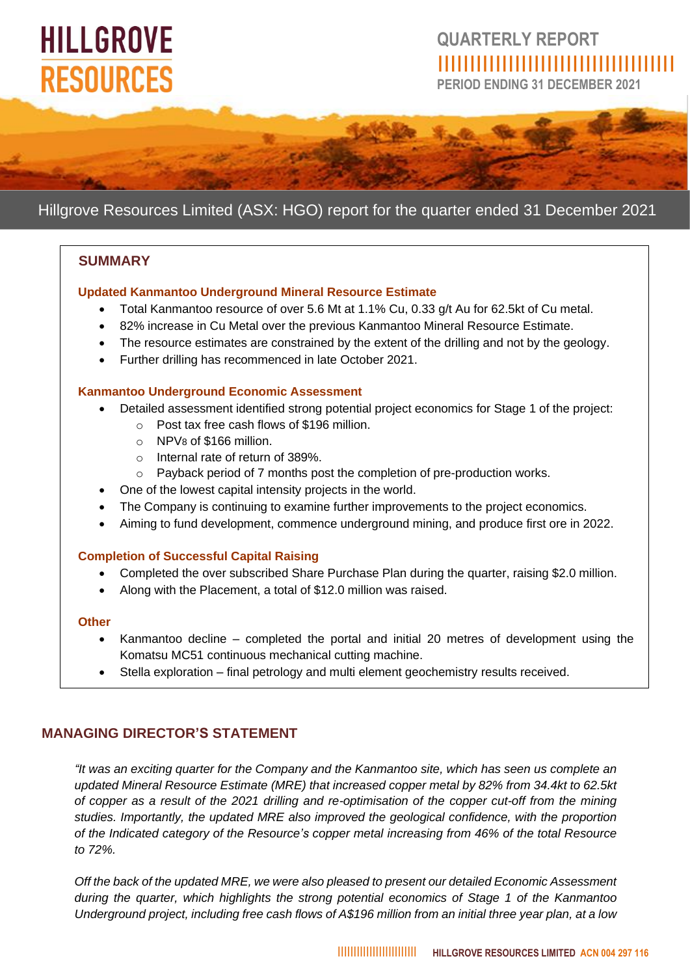# **HILLGROVE RESOURCES**

## **QUARTERLY REPORT** IIIIIIIIIIIIIIIIIIIIIIIIIIIIIIIIIIIII

**PERIOD ENDING 31 DECEMBER 2021**



### Hillgrove Resources Limited (ASX: HGO) report for the quarter ended 31 December 2021

#### **SUMMARY**

#### **Updated Kanmantoo Underground Mineral Resource Estimate**

- Total Kanmantoo resource of over 5.6 Mt at 1.1% Cu, 0.33 g/t Au for 62.5kt of Cu metal.
- 82% increase in Cu Metal over the previous Kanmantoo Mineral Resource Estimate.
- The resource estimates are constrained by the extent of the drilling and not by the geology.
- Further drilling has recommenced in late October 2021.

#### **Kanmantoo Underground Economic Assessment**

- Detailed assessment identified strong potential project economics for Stage 1 of the project:
	- o Post tax free cash flows of \$196 million.
	- o NPV8 of \$166 million.
	- o Internal rate of return of 389%.
	- o Payback period of 7 months post the completion of pre-production works.
- One of the lowest capital intensity projects in the world.
- The Company is continuing to examine further improvements to the project economics.
- Aiming to fund development, commence underground mining, and produce first ore in 2022.

#### **Completion of Successful Capital Raising**

- Completed the over subscribed Share Purchase Plan during the quarter, raising \$2.0 million.
- Along with the Placement, a total of \$12.0 million was raised.

#### **Other**

- Kanmantoo decline completed the portal and initial 20 metres of development using the Komatsu MC51 continuous mechanical cutting machine.
- Stella exploration final petrology and multi element geochemistry results received.

#### **MANAGING DIRECTOR'S STATEMENT**

*"It was an exciting quarter for the Company and the Kanmantoo site, which has seen us complete an updated Mineral Resource Estimate (MRE) that increased copper metal by 82% from 34.4kt to 62.5kt of copper as a result of the 2021 drilling and re-optimisation of the copper cut-off from the mining studies. Importantly, the updated MRE also improved the geological confidence, with the proportion of the Indicated category of the Resource's copper metal increasing from 46% of the total Resource to 72%.*

*Off the back of the updated MRE, we were also pleased to present our detailed Economic Assessment during the quarter, which highlights the strong potential economics of Stage 1 of the Kanmantoo Underground project, including free cash flows of A\$196 million from an initial three year plan, at a low*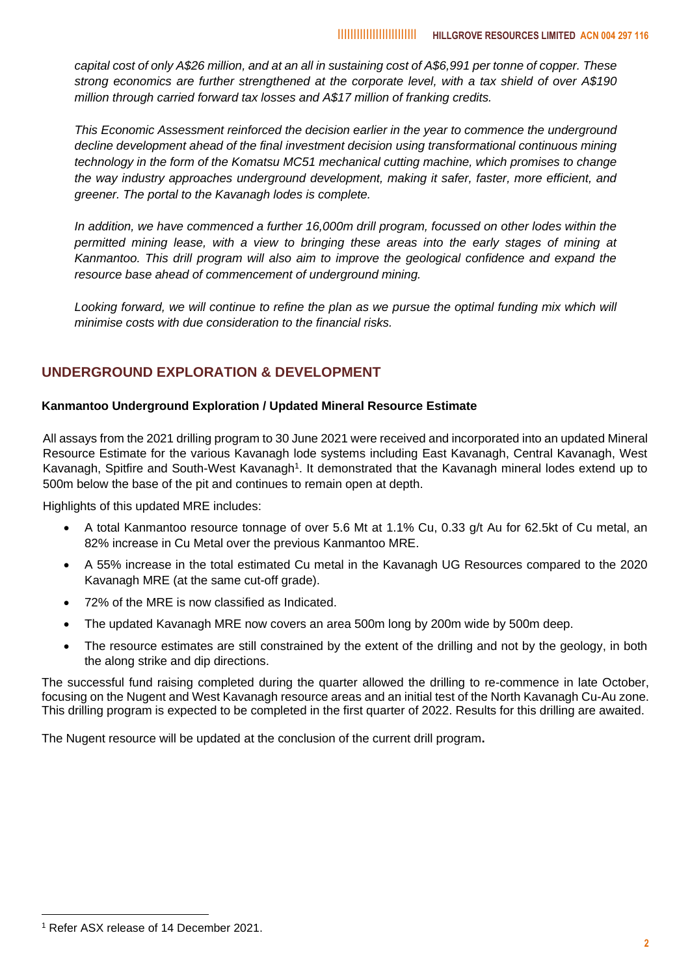*capital cost of only A\$26 million, and at an all in sustaining cost of A\$6,991 per tonne of copper. These strong economics are further strengthened at the corporate level, with a tax shield of over A\$190 million through carried forward tax losses and A\$17 million of franking credits.*

*This Economic Assessment reinforced the decision earlier in the year to commence the underground decline development ahead of the final investment decision using transformational continuous mining technology in the form of the Komatsu MC51 mechanical cutting machine, which promises to change the way industry approaches underground development, making it safer, faster, more efficient, and greener. The portal to the Kavanagh lodes is complete.*

*In addition, we have commenced a further 16,000m drill program, focussed on other lodes within the permitted mining lease, with a view to bringing these areas into the early stages of mining at Kanmantoo. This drill program will also aim to improve the geological confidence and expand the resource base ahead of commencement of underground mining.*

Looking forward, we will continue to refine the plan as we pursue the optimal funding mix which will *minimise costs with due consideration to the financial risks.*

#### **UNDERGROUND EXPLORATION & DEVELOPMENT**

#### **Kanmantoo Underground Exploration / Updated Mineral Resource Estimate**

All assays from the 2021 drilling program to 30 June 2021 were received and incorporated into an updated Mineral Resource Estimate for the various Kavanagh lode systems including East Kavanagh, Central Kavanagh, West Kavanagh, Spitfire and South-West Kavanagh<sup>1</sup>. It demonstrated that the Kavanagh mineral lodes extend up to 500m below the base of the pit and continues to remain open at depth.

Highlights of this updated MRE includes:

- A total Kanmantoo resource tonnage of over 5.6 Mt at 1.1% Cu, 0.33 g/t Au for 62.5kt of Cu metal, an 82% increase in Cu Metal over the previous Kanmantoo MRE.
- A 55% increase in the total estimated Cu metal in the Kavanagh UG Resources compared to the 2020 Kavanagh MRE (at the same cut-off grade).
- 72% of the MRE is now classified as Indicated.
- The updated Kavanagh MRE now covers an area 500m long by 200m wide by 500m deep.
- The resource estimates are still constrained by the extent of the drilling and not by the geology, in both the along strike and dip directions.

The successful fund raising completed during the quarter allowed the drilling to re-commence in late October, focusing on the Nugent and West Kavanagh resource areas and an initial test of the North Kavanagh Cu-Au zone. This drilling program is expected to be completed in the first quarter of 2022. Results for this drilling are awaited.

The Nugent resource will be updated at the conclusion of the current drill program**.**

<sup>1</sup> Refer ASX release of 14 December 2021.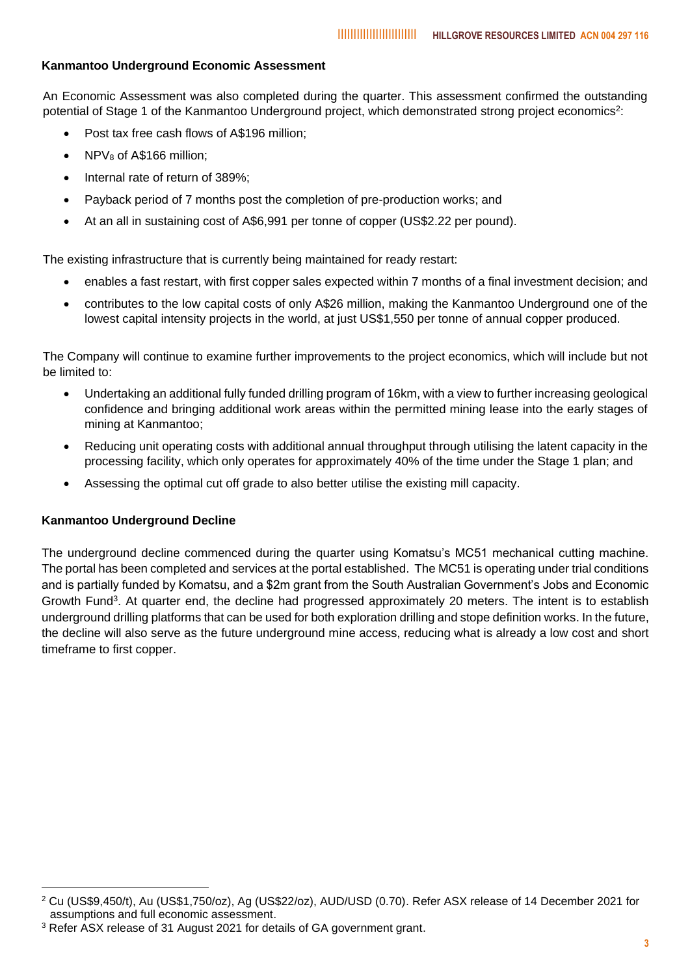#### **Kanmantoo Underground Economic Assessment**

An Economic Assessment was also completed during the quarter. This assessment confirmed the outstanding potential of Stage 1 of the Kanmantoo Underground project, which demonstrated strong project economics<sup>2</sup>:

- Post tax free cash flows of A\$196 million;
- $NPV_8$  of A\$166 million;
- Internal rate of return of 389%;
- Payback period of 7 months post the completion of pre-production works; and
- At an all in sustaining cost of A\$6,991 per tonne of copper (US\$2.22 per pound).

The existing infrastructure that is currently being maintained for ready restart:

- enables a fast restart, with first copper sales expected within 7 months of a final investment decision; and
- contributes to the low capital costs of only A\$26 million, making the Kanmantoo Underground one of the lowest capital intensity projects in the world, at just US\$1,550 per tonne of annual copper produced.

The Company will continue to examine further improvements to the project economics, which will include but not be limited to:

- Undertaking an additional fully funded drilling program of 16km, with a view to further increasing geological confidence and bringing additional work areas within the permitted mining lease into the early stages of mining at Kanmantoo;
- Reducing unit operating costs with additional annual throughput through utilising the latent capacity in the processing facility, which only operates for approximately 40% of the time under the Stage 1 plan; and
- Assessing the optimal cut off grade to also better utilise the existing mill capacity.

#### **Kanmantoo Underground Decline**

The underground decline commenced during the quarter using Komatsu's MC51 mechanical cutting machine. The portal has been completed and services at the portal established. The MC51 is operating under trial conditions and is partially funded by Komatsu, and a \$2m grant from the South Australian Government's Jobs and Economic Growth Fund<sup>3</sup>. At quarter end, the decline had progressed approximately 20 meters. The intent is to establish underground drilling platforms that can be used for both exploration drilling and stope definition works. In the future, the decline will also serve as the future underground mine access, reducing what is already a low cost and short timeframe to first copper.

<sup>2</sup> Cu (US\$9,450/t), Au (US\$1,750/oz), Ag (US\$22/oz), AUD/USD (0.70). Refer ASX release of 14 December 2021 for assumptions and full economic assessment.

<sup>3</sup> Refer ASX release of 31 August 2021 for details of GA government grant.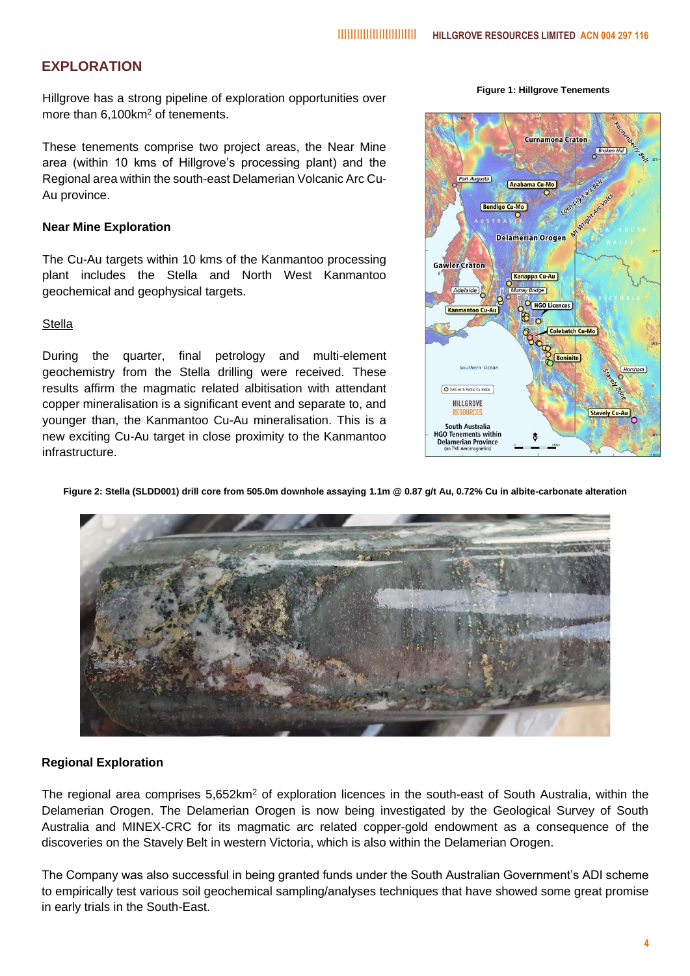#### **EXPLORATION**

Hillgrove has a strong pipeline of exploration opportunities over more than 6.100km<sup>2</sup> of tenements.

These tenements comprise two project areas, the Near Mine area (within 10 kms of Hillgrove's processing plant) and the Regional area within the south-east Delamerian Volcanic Arc Cu-Au province.

#### **Near Mine Exploration**

The Cu-Au targets within 10 kms of the Kanmantoo processing plant includes the Stella and North West Kanmantoo geochemical and geophysical targets.

#### **Stella**

During the quarter, final petrology and multi-element geochemistry from the Stella drilling were received. These results affirm the magmatic related albitisation with attendant copper mineralisation is a significant event and separate to, and younger than, the Kanmantoo Cu-Au mineralisation. This is a new exciting Cu-Au target in close proximity to the Kanmantoo infrastructure.

**Figure 1: Hillgrove Tenements**



**Figure 2: Stella (SLDD001) drill core from 505.0m downhole assaying 1.1m @ 0.87 g/t Au, 0.72% Cu in albite-carbonate alteration**



#### **Regional Exploration**

The regional area comprises 5,652km<sup>2</sup> of exploration licences in the south-east of South Australia, within the Delamerian Orogen. The Delamerian Orogen is now being investigated by the Geological Survey of South Australia and MINEX-CRC for its magmatic arc related copper-gold endowment as a consequence of the discoveries on the Stavely Belt in western Victoria, which is also within the Delamerian Orogen.

The Company was also successful in being granted funds under the South Australian Government's ADI scheme to empirically test various soil geochemical sampling/analyses techniques that have showed some great promise in early trials in the South-East.